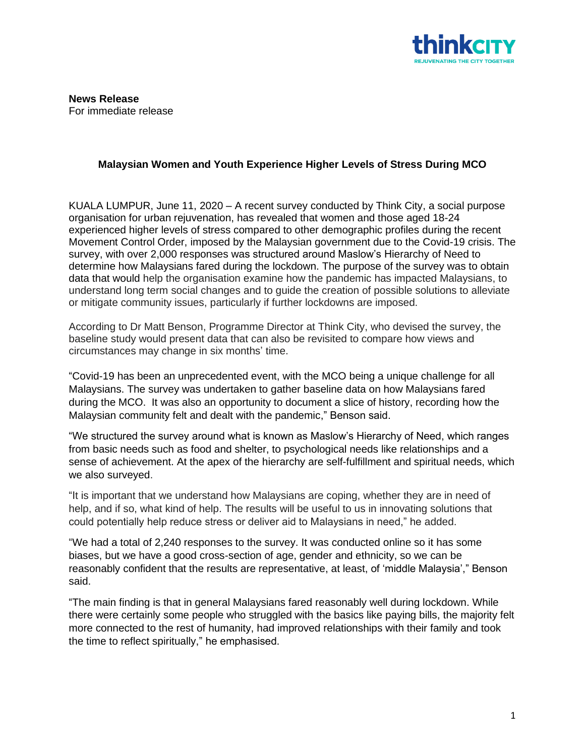

## **Malaysian Women and Youth Experience Higher Levels of Stress During MCO**

KUALA LUMPUR, June 11, 2020 – A recent survey conducted by Think City, a social purpose organisation for urban rejuvenation, has revealed that women and those aged 18-24 experienced higher levels of stress compared to other demographic profiles during the recent Movement Control Order, imposed by the Malaysian government due to the Covid-19 crisis. The survey, with over 2,000 responses was structured around Maslow's Hierarchy of Need to determine how Malaysians fared during the lockdown. The purpose of the survey was to obtain data that would help the organisation examine how the pandemic has impacted Malaysians, to understand long term social changes and to guide the creation of possible solutions to alleviate or mitigate community issues, particularly if further lockdowns are imposed.

According to Dr Matt Benson, Programme Director at Think City, who devised the survey, the baseline study would present data that can also be revisited to compare how views and circumstances may change in six months' time.

"Covid-19 has been an unprecedented event, with the MCO being a unique challenge for all Malaysians. The survey was undertaken to gather baseline data on how Malaysians fared during the MCO. It was also an opportunity to document a slice of history, recording how the Malaysian community felt and dealt with the pandemic," Benson said.

"We structured the survey around what is known as Maslow's Hierarchy of Need, which ranges from basic needs such as food and shelter, to psychological needs like relationships and a sense of achievement. At the apex of the hierarchy are self-fulfillment and spiritual needs, which we also surveyed.

"It is important that we understand how Malaysians are coping, whether they are in need of help, and if so, what kind of help. The results will be useful to us in innovating solutions that could potentially help reduce stress or deliver aid to Malaysians in need," he added.

"We had a total of 2,240 responses to the survey. It was conducted online so it has some biases, but we have a good cross-section of age, gender and ethnicity, so we can be reasonably confident that the results are representative, at least, of 'middle Malaysia'," Benson said.

"The main finding is that in general Malaysians fared reasonably well during lockdown. While there were certainly some people who struggled with the basics like paying bills, the majority felt more connected to the rest of humanity, had improved relationships with their family and took the time to reflect spiritually," he emphasised.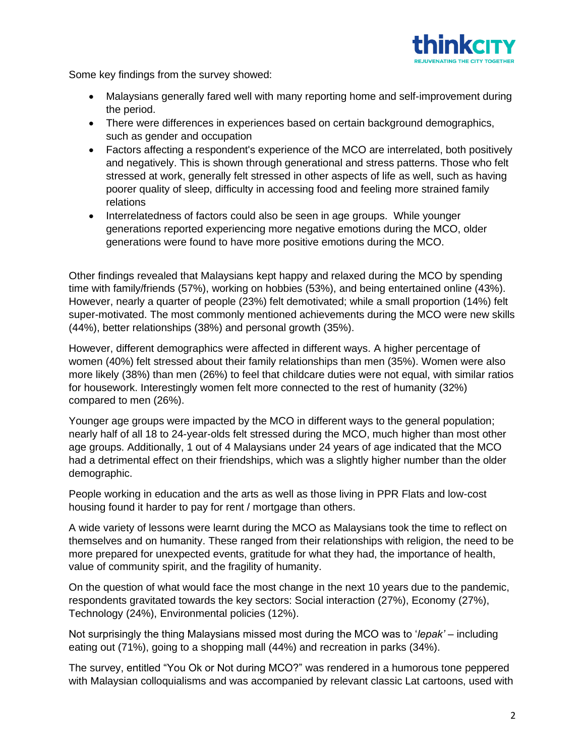

Some key findings from the survey showed:

- Malaysians generally fared well with many reporting home and self-improvement during the period.
- There were differences in experiences based on certain background demographics, such as gender and occupation
- Factors affecting a respondent's experience of the MCO are interrelated, both positively and negatively. This is shown through generational and stress patterns. Those who felt stressed at work, generally felt stressed in other aspects of life as well, such as having poorer quality of sleep, difficulty in accessing food and feeling more strained family relations
- Interrelatedness of factors could also be seen in age groups. While younger generations reported experiencing more negative emotions during the MCO, older generations were found to have more positive emotions during the MCO.

Other findings revealed that Malaysians kept happy and relaxed during the MCO by spending time with family/friends (57%), working on hobbies (53%), and being entertained online (43%). However, nearly a quarter of people (23%) felt demotivated; while a small proportion (14%) felt super-motivated. The most commonly mentioned achievements during the MCO were new skills (44%), better relationships (38%) and personal growth (35%).

However, different demographics were affected in different ways. A higher percentage of women (40%) felt stressed about their family relationships than men (35%). Women were also more likely (38%) than men (26%) to feel that childcare duties were not equal, with similar ratios for housework. Interestingly women felt more connected to the rest of humanity (32%) compared to men (26%).

Younger age groups were impacted by the MCO in different ways to the general population; nearly half of all 18 to 24-year-olds felt stressed during the MCO, much higher than most other age groups. Additionally, 1 out of 4 Malaysians under 24 years of age indicated that the MCO had a detrimental effect on their friendships, which was a slightly higher number than the older demographic.

People working in education and the arts as well as those living in PPR Flats and low-cost housing found it harder to pay for rent / mortgage than others.

A wide variety of lessons were learnt during the MCO as Malaysians took the time to reflect on themselves and on humanity. These ranged from their relationships with religion, the need to be more prepared for unexpected events, gratitude for what they had, the importance of health, value of community spirit, and the fragility of humanity.

On the question of what would face the most change in the next 10 years due to the pandemic, respondents gravitated towards the key sectors: Social interaction (27%), Economy (27%), Technology (24%), Environmental policies (12%).

Not surprisingly the thing Malaysians missed most during the MCO was to '*lepak'* – including eating out (71%), going to a shopping mall (44%) and recreation in parks (34%).

The survey, entitled "You Ok or Not during MCO?" was rendered in a humorous tone peppered with Malaysian colloquialisms and was accompanied by relevant classic Lat cartoons, used with